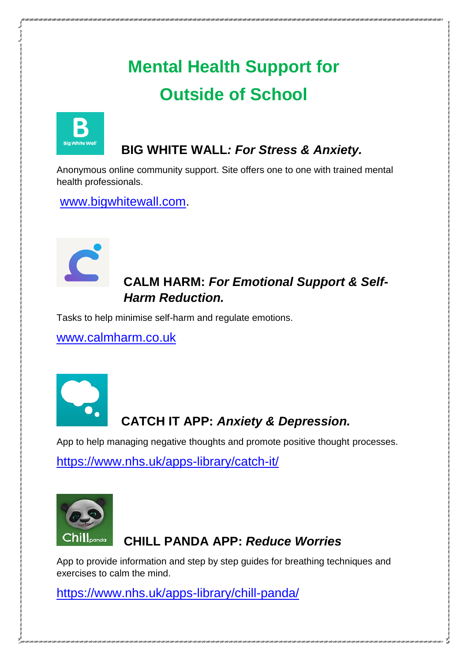# **Mental Health Support for Outside of School**



#### **BIG WHITE WALL***: For Stress & Anxiety.*

Anonymous online community support. Site offers one to one with trained mental health professionals.

[www.bigwhitewall.com.](about:blank)



#### **CALM HARM:** *For Emotional Support & Self- Harm Reduction.*

Tasks to help minimise self-harm and regulate emotions.

[www.calmharm.co.uk](http://www.calmharm.co.uk/)



# **CATCH IT APP:** *Anxiety & Depression.*

App to help managing negative thoughts and promote positive thought processes.

<https://www.nhs.uk/apps-library/catch-it/>



#### **CHILL PANDA APP:** *Reduce Worries*

App to provide information and step by step guides for breathing techniques and exercises to calm the mind.

<https://www.nhs.uk/apps-library/chill-panda/>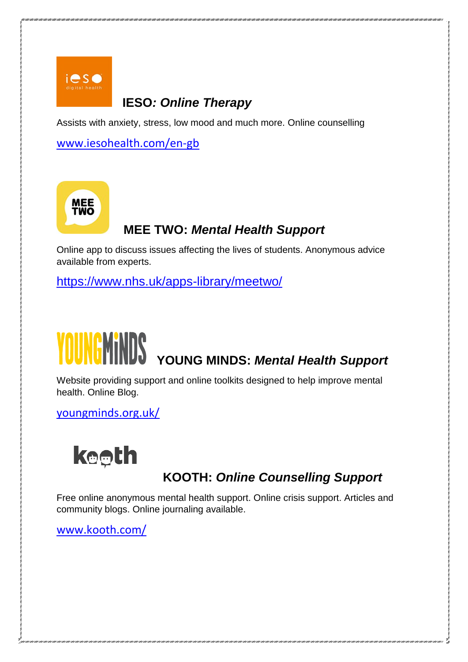

#### **IESO***: Online Therapy*

Assists with anxiety, stress, low mood and much more. Online counselling

[www.iesohealth.com/en-gb](about:blank)



# **MEE TWO:** *Mental Health Support*

Online app to discuss issues affecting the lives of students. Anonymous advice available from experts.

<https://www.nhs.uk/apps-library/meetwo/>

# **YOUNG MINDS:** *Mental Health Support*

Website providing support and online toolkits designed to help improve mental health. Online Blog.

[youngminds.org.uk/](about:blank)



# **KOOTH:** *Online Counselling Support*

Free online anonymous mental health support. Online crisis support. Articles and community blogs. Online journaling available.

[www.kooth.com/](about:blank)